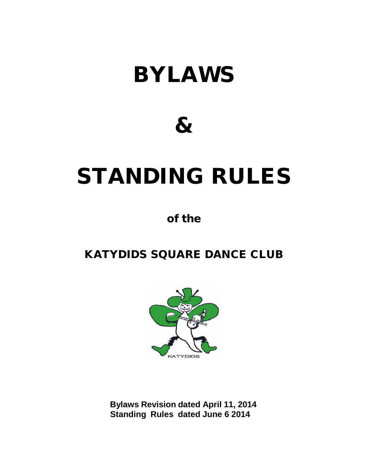# BYLAWS

# &

# STANDING RULES

# of the

# KATYDIDS SQUARE DANCE CLUB



**Bylaws Revision dated April 11, 2014 Standing Rules dated June 6 2014**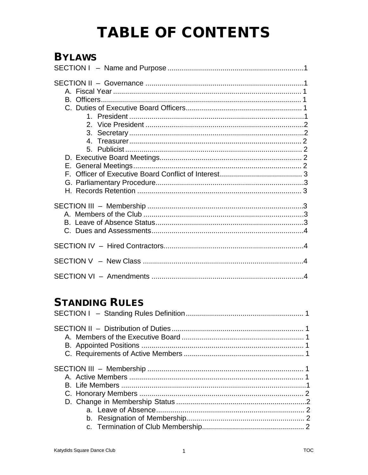# **TABLE OF CONTENTS**

# **BYLAWS**

# **STANDING RULES**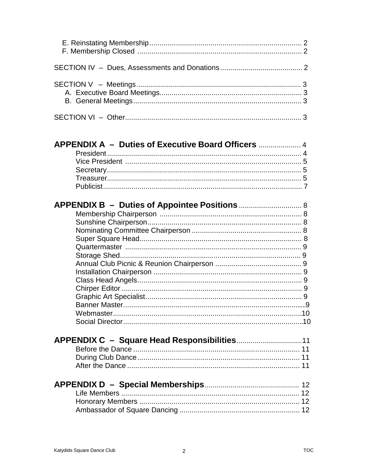| $\mathcal{A} \cap$ |  |
|--------------------|--|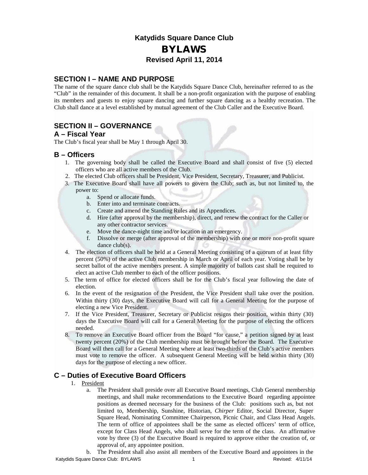### **Katydids Square Dance Club** BYLAWS **Revised April 11, 2014**

#### **SECTION I – NAME AND PURPOSE**

The name of the square dance club shall be the Katydids Square Dance Club, hereinafter referred to as the "Club" in the remainder of this document. It shall be a non-profit organization with the purpose of enabling its members and guests to enjoy square dancing and further square dancing as a healthy recreation. The Club shall dance at a level established by mutual agreement of the Club Caller and the Executive Board.

#### **SECTION II – GOVERNANCE**

#### **A – Fiscal Year**

The Club's fiscal year shall be May 1 through April 30.

#### **B – Officers**

- 1. The governing body shall be called the Executive Board and shall consist of five (5) elected officers who are all active members of the Club.
- 2. The elected Club officers shall be President, Vice President, Secretary, Treasurer, and Publicist.
- 3. The Executive Board shall have all powers to govern the Club; such as, but not limited to, the power to:
	- a. Spend or allocate funds.
	- b. Enter into and terminate contracts.
	- c. Create and amend the Standing Rules and its Appendices.
	- d. Hire (after approval by the membership), direct, and renew the contract for the Caller or any other contractor services.
	- e. Move the dance-night time and/or location in an emergency.
	- f. Dissolve or merge (after approval of the membership) with one or more non-profit square dance club(s).
- 4. The election of officers shall be held at a General Meeting consisting of a quorum of at least fifty percent (50%) of the active Club membership in March or April of each year. Voting shall be by secret ballot of the active members present. A simple majority of ballots cast shall be required to elect an active Club member to each of the officer positions.
- 5. The term of office for elected officers shall be for the Club's fiscal year following the date of election.
- 6. In the event of the resignation of the President, the Vice President shall take over the position. Within thirty (30) days, the Executive Board will call for a General Meeting for the purpose of electing a new Vice President.
- 7. If the Vice President, Treasurer, Secretary or Publicist resigns their position, within thirty (30) days the Executive Board will call for a General Meeting for the purpose of electing the officers needed.
- 8. To remove an Executive Board officer from the Board "for cause," a petition signed by at least twenty percent (20%) of the Club membership must be brought before the Board. The Executive Board will then call for a General Meeting where at least two-thirds of the Club's active members must vote to remove the officer. A subsequent General Meeting will be held within thirty (30) days for the purpose of electing a new officer.

#### **C – Duties of Executive Board Officers**

- 1. President
	- a. The President shall preside over all Executive Board meetings, Club General membership meetings, and shall make recommendations to the Executive Board regarding appointee positions as deemed necessary for the business of the Club: positions such as, but not limited to, Membership, Sunshine, Historian, *Chirper* Editor, Social Director, Super Square Head, Nominating Committee Chairperson, Picnic Chair, and Class Head Angels. The term of office of appointees shall be the same as elected officers' term of office, except for Class Head Angels, who shall serve for the term of the class. An affirmative vote by three (3) of the Executive Board is required to approve either the creation of, or approval of, any appointee position.
- Katydids Square Dance Club: BYLAWS 1 Revised: 4/11/14 b. The President shall also assist all members of the Executive Board and appointees in the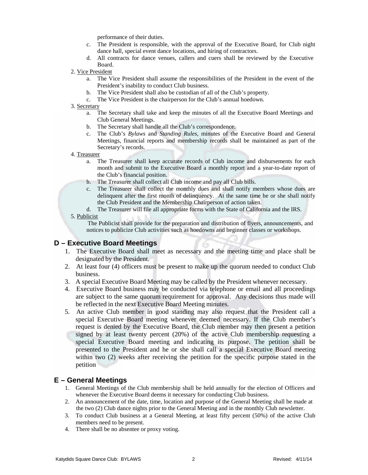performance of their duties.

- c. The President is responsible, with the approval of the Executive Board, for Club night dance hall, special event dance locations, and hiring of contractors.
- d. All contracts for dance venues, callers and cuers shall be reviewed by the Executive Board.
- 2. Vice President
	- a. The Vice President shall assume the responsibilities of the President in the event of the President's inability to conduct Club business.
	- b. The Vice President shall also be custodian of all of the Club's property.
	- c. The Vice President is the chairperson for the Club's annual hoedown.

#### 3. Secretary

- a. The Secretary shall take and keep the minutes of all the Executive Board Meetings and Club General Meetings.
- b. The Secretary shall handle all the Club's correspondence.
- c. The Club's *Bylaws* and *Standing Rules,* minutes of the Executive Board and General Meetings, financial reports and membership records shall be maintained as part of the Secretary's records.
- 4. Treasurer
	- a. The Treasurer shall keep accurate records of Club income and disbursements for each month and submit to the Executive Board a monthly report and a year-to-date report of the Club's financial position.
	- b. The Treasurer shall collect all Club income and pay all Club bills.
	- c. The Treasurer shall collect the monthly dues and shall notify members whose dues are delinquent after the first month of delinquency. At the same time he or she shall notify the Club President and the Membership Chairperson of action taken.
	- d. The Treasurer will file all appropriate forms with the State of California and the IRS.
- 5. Publicist

The Publicist shall provide for the preparation and distribution of flyers, announcements, and notices to publicize Club activities such as hoedowns and beginner classes or workshops.

#### **D – Executive Board Meetings**

- 1. The Executive Board shall meet as necessary and the meeting time and place shall be designated by the President.
- 2. At least four (4) officers must be present to make up the quorum needed to conduct Club business.
- 3. A special Executive Board Meeting may be called by the President whenever necessary.
- 4. Executive Board business may be conducted via telephone or email and all proceedings are subject to the same quorum requirement for approval. Any decisions thus made will be reflected in the next Executive Board Meeting minutes.
- 5. An active Club member in good standing may also request that the President call a special Executive Board meeting whenever deemed necessary. If the Club member's request is denied by the Executive Board, the Club member may then present a petition signed by at least twenty percent (20%) of the active Club membership requesting a special Executive Board meeting and indicating its purpose. The petition shall be presented to the President and he or she shall call a special Executive Board meeting within two (2) weeks after receiving the petition for the specific purpose stated in the petition

#### **E – General Meetings**

- 1. General Meetings of the Club membership shall be held annually for the election of Officers and whenever the Executive Board deems it necessary for conducting Club business.
- 2. An announcement of the date, time, location and purpose of the General Meeting shall be made at the two (2) Club dance nights prior to the General Meeting and in the monthly Club newsletter.
- 3. To conduct Club business at a General Meeting, at least fifty percent (50%) of the active Club members need to be present.
- 4. There shall be no absentee or proxy voting.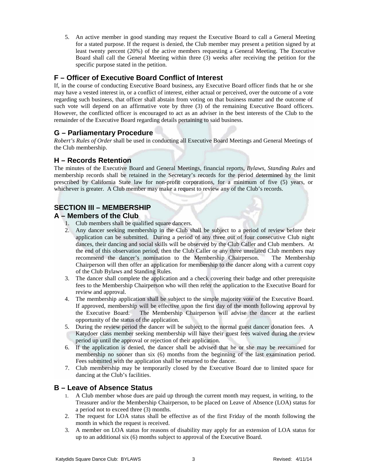5. An active member in good standing may request the Executive Board to call a General Meeting for a stated purpose. If the request is denied, the Club member may present a petition signed by at least twenty percent (20%) of the active members requesting a General Meeting. The Executive Board shall call the General Meeting within three (3) weeks after receiving the petition for the specific purpose stated in the petition.

#### **F – Officer of Executive Board Conflict of Interest**

If, in the course of conducting Executive Board business, any Executive Board officer finds that he or she may have a vested interest in, or a conflict of interest, either actual or perceived, over the outcome of a vote regarding such business, that officer shall abstain from voting on that business matter and the outcome of such vote will depend on an affirmative vote by three (3) of the remaining Executive Board officers. However, the conflicted officer is encouraged to act as an adviser in the best interests of the Club to the remainder of the Executive Board regarding details pertaining to said business.

#### **G – Parliamentary Procedure**

*Robert's Rules of Order* shall be used in conducting all Executive Board Meetings and General Meetings of the Club membership.

#### **H – Records Retention**

The minutes of the Executive Board and General Meetings, financial reports, *Bylaws*, *Standing Rules* and membership records shall be retained in the Secretary's records for the period determined by the limit prescribed by California State law for non-profit corporations, for a minimum of five (5) years, or whichever is greater. A Club member may make a request to review any of the Club's records.

### **SECTION III – MEMBERSHIP**

#### **A – Members of the Club**

- 1. Club members shall be qualified square dancers.
- 2. Any dancer seeking membership in the Club shall be subject to a period of review before their application can be submitted. During a period of any three out of four consecutive Club night dances, their dancing and social skills will be observed by the Club Caller and Club members. At the end of this observation period, then the Club Caller or any three unrelated Club members may recommend the dancer's nomination to the Membership Chairperson. The Membership Chairperson will then offer an application for membership to the dancer along with a current copy of the Club Bylaws and Standing Rules.
- 3. The dancer shall complete the application and a check covering their badge and other prerequisite fees to the Membership Chairperson who will then refer the application to the Executive Board for review and approval.
- 4. The membership application shall be subject to the simple majority vote of the Executive Board. If approved, membership will be effective upon the first day of the month following approval by the Executive Board. The Membership Chairperson will advise the dancer at the earliest The Membership Chairperson will advise the dancer at the earliest opportunity of the status of the application.
- 5. During the review period the dancer will be subject to the normal guest dancer donation fees. A Katydoer class member seeking membership will have their guest fees waived during the review period up until the approval or rejection of their application.
- 6. If the application is denied, the dancer shall be advised that he or she may be reexamined for membership no sooner than six (6) months from the beginning of the last examination period. Fees submitted with the application shall be returned to the dancer.
- 7. Club membership may be temporarily closed by the Executive Board due to limited space for dancing at the Club's facilities.

#### **B – Leave of Absence Status**

- 1. A Club member whose dues are paid up through the current month may request, in writing, to the Treasurer and/or the Membership Chairperson, to be placed on Leave of Absence (LOA) status for a period not to exceed three (3) months.
- 2. The request for LOA status shall be effective as of the first Friday of the month following the month in which the request is received.
- 3. A member on LOA status for reasons of disability may apply for an extension of LOA status for up to an additional six (6) months subject to approval of the Executive Board.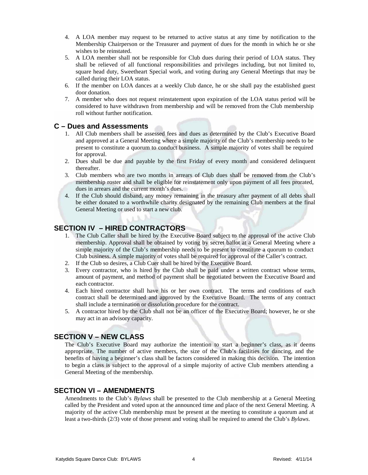- 4. A LOA member may request to be returned to active status at any time by notification to the Membership Chairperson or the Treasurer and payment of dues for the month in which he or she wishes to be reinstated.
- 5. A LOA member shall not be responsible for Club dues during their period of LOA status. They shall be relieved of all functional responsibilities and privileges including, but not limited to, square head duty, Sweetheart Special work, and voting during any General Meetings that may be called during their LOA status.
- 6. If the member on LOA dances at a weekly Club dance, he or she shall pay the established guest door donation.
- 7. A member who does not request reinstatement upon expiration of the LOA status period will be considered to have withdrawn from membership and will be removed from the Club membership roll without further notification.

#### **C – Dues and Assessments**

- 1. All Club members shall be assessed fees and dues as determined by the Club's Executive Board and approved at a General Meeting where a simple majority of the Club's membership needs to be present to constitute a quorum to conduct business. A simple majority of votes shall be required for approval.
- 2. Dues shall be due and payable by the first Friday of every month and considered delinquent thereafter.
- 3. Club members who are two months in arrears of Club dues shall be removed from the Club's membership roster and shall be eligible for reinstatement only upon payment of all fees prorated, dues in arrears and the current month's dues.
- 4. If the Club should disband, any money remaining in the treasury after payment of all debts shall be either donated to a worthwhile charity designated by the remaining Club members at the final General Meeting or used to start a new club.

#### **SECTION IV – HIRED CONTRACTORS**

- 1. The Club Caller shall be hired by the Executive Board subject to the approval of the active Club membership. Approval shall be obtained by voting by secret ballot at a General Meeting where a simple majority of the Club's membership needs to be present to constitute a quorum to conduct Club business. A simple majority of votes shall be required for approval of the Caller's contract.
- 2. If the Club so desires, a Club Cuer shall be hired by the Executive Board.
- 3. Every contractor, who is hired by the Club shall be paid under a written contract whose terms, amount of payment, and method of payment shall be negotiated between the Executive Board and each contractor.
- 4. Each hired contractor shall have his or her own contract. The terms and conditions of each contract shall be determined and approved by the Executive Board. The terms of any contract shall include a termination or dissolution procedure for the contract.
- 5. A contractor hired by the Club shall not be an officer of the Executive Board; however, he or she may act in an advisory capacity.

#### **SECTION V – NEW CLASS**

The Club's Executive Board may authorize the intention to start a beginner's class, as it deems appropriate. The number of active members, the size of the Club's facilities for dancing, and the benefits of having a beginner's class shall be factors considered in making this decision. The intention to begin a class is subject to the approval of a simple majority of active Club members attending a General Meeting of the membership.

#### **SECTION VI – AMENDMENTS**

Amendments to the Club's *Bylaws* shall be presented to the Club membership at a General Meeting called by the President and voted upon at the announced time and place of the next General Meeting. A majority of the active Club membership must be present at the meeting to constitute a quorum and at least a two-thirds (2/3) vote of those present and voting shall be required to amend the Club's *Bylaws*.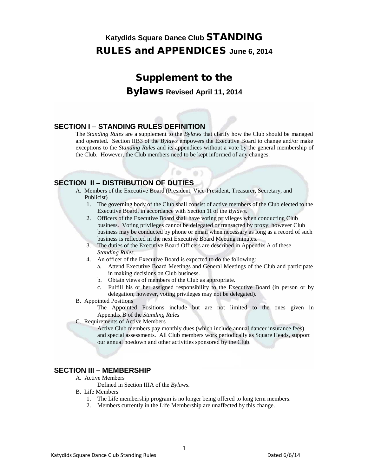## Supplement to the Bylaws **Revised April 11, 2014**

#### **SECTION I – STANDING RULES DEFINITION**

The *Standing Rules* are a supplement to the *Bylaws* that clarify how the Club should be managed and operated. Section IIB3 of the *Bylaws* empowers the Executive Board to change and/or make exceptions to the *Standing Rules* and its appendices without a vote by the general membership of the Club. However, the Club members need to be kept informed of any changes.

 $63$ 

#### **SECTION II – DISTRIBUTION OF DUTIES**

A. Members of the Executive Board (President, Vice-President, Treasurer, Secretary, and Publicist)

b

- 1. The governing body of the Club shall consist of active members of the Club elected to the Executive Board, in accordance with Section 1I of the *Bylaws*.
- 2. Officers of the Executive Board shall have voting privileges when conducting Club business. Voting privileges cannot be delegated or transacted by proxy; however Club business may be conducted by phone or email when necessary as long as a record of such business is reflected in the next Executive Board Meeting minutes.
- 3. The duties of the Executive Board Officers are described in Appendix A of these *Standing Rules*.
- 4. An officer of the Executive Board is expected to do the following:
	- a. Attend Executive Board Meetings and General Meetings of the Club and participate in making decisions on Club business.
	- b. Obtain views of members of the Club as appropriate.
	- c. Fulfill his or her assigned responsibility to the Executive Board (in person or by delegation; however, voting privileges may not be delegated).
- B. Appointed Positions

The Appointed Positions include but are not limited to the ones given in Appendix B of the *Standing Rules*

C. Requirements of Active Members

Active Club members pay monthly dues (which include annual dancer insurance fees) and special assessments. All Club members work periodically as Square Heads, support our annual hoedown and other activities sponsored by the Club.

#### **SECTION III – MEMBERSHIP**

- A. Active Members
	- Defined in Section IIIA of the *Bylaws*.
- B. Life Members
	- 1. The Life membership program is no longer being offered to long term members.
	- 2. Members currently in the Life Membership are unaffected by this change.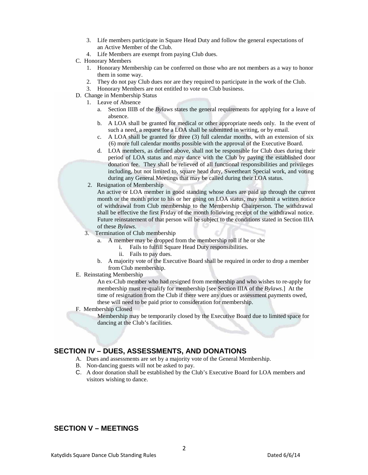- 3. Life members participate in Square Head Duty and follow the general expectations of an Active Member of the Club.
- 4. Life Members are exempt from paying Club dues.
- C. Honorary Members
	- 1. Honorary Membership can be conferred on those who are not members as a way to honor them in some way.
	- 2. They do not pay Club dues nor are they required to participate in the work of the Club.
	- 3. Honorary Members are not entitled to vote on Club business.
- D. Change in Membership Status
	- 1. Leave of Absence
		- a. Section IIIB of the *Bylaws* states the general requirements for applying for a leave of absence.
		- b. A LOA shall be granted for medical or other appropriate needs only. In the event of such a need, a request for a LOA shall be submitted in writing, or by email.
		- c. A LOA shall be granted for three (3) full calendar months, with an extension of six (6) more full calendar months possible with the approval of the Executive Board.
		- d. LOA members, as defined above, shall not be responsible for Club dues during their period of LOA status and may dance with the Club by paying the established door donation fee. They shall be relieved of all functional responsibilities and privileges including, but not limited to, square head duty, Sweetheart Special work, and voting during any General Meetings that may be called during their LOA status.
		- 2. Resignation of Membership

An active or LOA member in good standing whose dues are paid up through the current month or the month prior to his or her going on LOA status, may submit a written notice of withdrawal from Club membership to the Membership Chairperson. The withdrawal shall be effective the first Friday of the month following receipt of the withdrawal notice. Future reinstatement of that person will be subject to the conditions stated in Section IIIA of these *Bylaws*.

- 3. Termination of Club membership
	- a. A member may be dropped from the membership roll if he or she
		- i. Fails to fulfill Square Head Duty responsibilities.
		- ii. Fails to pay dues.
	- b. A majority vote of the Executive Board shall be required in order to drop a member from Club membership.
- E. Reinstating Membership

An ex-Club member who had resigned from membership and who wishes to re-apply for membership must re-qualify for membership [see Section IIIA of the *Bylaws*.] At the time of resignation from the Club if there were any dues or assessment payments owed, these will need to be paid prior to consideration for membership.

#### F. Membership Closed

Membership may be temporarily closed by the Executive Board due to limited space for dancing at the Club's facilities.

#### **SECTION IV – DUES, ASSESSMENTS, AND DONATIONS**

- A. Dues and assessments are set by a majority vote of the General Membership.
- B. Non-dancing guests will not be asked to pay.
- C. A door donation shall be established by the Club's Executive Board for LOA members and visitors wishing to dance.

#### **SECTION V – MEETINGS**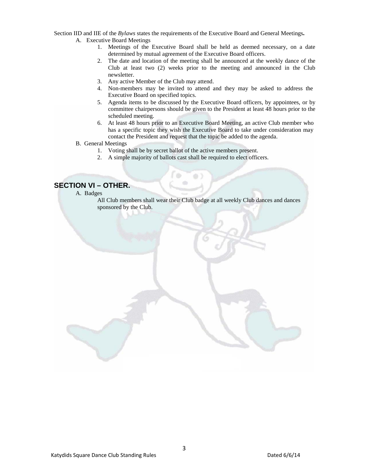Section IID and IIE of the *Bylaws* states the requirements of the Executive Board and General Meetings**.**

- A. Executive Board Meetings
	- 1. Meetings of the Executive Board shall be held as deemed necessary, on a date determined by mutual agreement of the Executive Board officers.
	- 2. The date and location of the meeting shall be announced at the weekly dance of the Club at least two (2) weeks prior to the meeting and announced in the Club newsletter.
	- 3. Any active Member of the Club may attend.
	- 4. Non-members may be invited to attend and they may be asked to address the Executive Board on specified topics.
	- 5. Agenda items to be discussed by the Executive Board officers, by appointees, or by committee chairpersons should be given to the President at least 48 hours prior to the scheduled meeting.
	- 6. At least 48 hours prior to an Executive Board Meeting, an active Club member who has a specific topic they wish the Executive Board to take under consideration may contact the President and request that the topic be added to the agenda.
- B. General Meetings
	- 1. Voting shall be by secret ballot of the active members present.

÷

2. A simple majority of ballots cast shall be required to elect officers.

-db

#### **SECTION VI – OTHER.**

- A. Badges
	- All Club members shall wear their Club badge at all weekly Club dances and dances sponsored by the Club.

 $\otimes$ )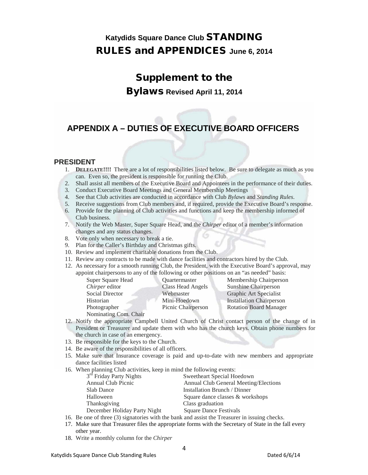## Supplement to the

Bylaws **Revised April 11, 2014**

# **APPENDIX A – DUTIES OF EXECUTIVE BOARD OFFICERS**

#### **PRESIDENT**

- 1. **DELEGATE!!!!** There are a lot of responsibilities listed below. Be sure to delegate as much as you can. Even so, the president is responsible for running the Club.
- 2. Shall assist all members of the Executive Board and Appointees in the performance of their duties.
- 3. Conduct Executive Board Meetings and General Membership Meetings
- 4. See that Club activities are conducted in accordance with Club *Bylaws* and *Standing Rules*.
- 5. Receive suggestions from Club members and, if required, provide the Executive Board's response.
- 6. Provide for the planning of Club activities and functions and keep the membership informed of Club business.
- 7. Notify the Web Master, Super Square Head, and the *Chirper* editor of a member's information changes and any status changes.
- 8. Vote only when necessary to break a tie.
- 9. Plan for the Caller's Birthday and Christmas gifts.
- 10. Review and implement charitable donations from the Club.
- 11. Review any contracts to be made with dance facilities and contractors hired by the Club.
- 12. As necessary for a smooth running Club, the President, with the Executive Board's approval, may appoint chairpersons to any of the following or other positions on an "as needed" basis:

Super Square Head Quartermaster Membership Chairperson **Chirper** editor Class Head Angels Sunshine Chairperson Social Director Webmaster Graphic Art Specialist Historian Mini-Hoedown Installation Chairperson Photographer Picnic Chairperson Rotation Board Manager

- Nominating Com. Chair
- 12. Notify the appropriate Campbell United Church of Christ contact person of the change of in President or Treasurer and update them with who has the church keys. Obtain phone numbers for the church in case of an emergency.
- 13. Be responsible for the keys to the Church.
- 14. Be aware of the responsibilities of all officers.
- 15. Make sure that Insurance coverage is paid and up-to-date with new members and appropriate dance facilities listed
- 16. When planning Club activities, keep in mind the following events:

| 3 <sup>rd</sup> Friday Party Nights | Sweetheart Special Hoedown            |
|-------------------------------------|---------------------------------------|
| Annual Club Picnic                  | Annual Club General Meeting/Elections |
| Slab Dance                          | Installation Brunch / Dinner          |
| Halloween                           | Square dance classes & workshops      |
| Thanksgiving                        | Class graduation                      |
| December Holiday Party Night        | <b>Square Dance Festivals</b>         |
|                                     |                                       |

- 16. Be one of three (3) signatories with the bank and assist the Treasurer in issuing checks.
- 17. Make sure that Treasurer files the appropriate forms with the Secretary of State in the fall every other year.
- 18. Write a monthly column for the *Chirper*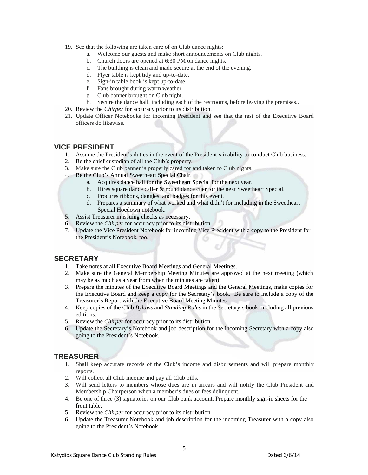- 19. See that the following are taken care of on Club dance nights:
	- a. Welcome our guests and make short announcements on Club nights.
	- b. Church doors are opened at 6:30 PM on dance nights.
	- c. The building is clean and made secure at the end of the evening.
	- d. Flyer table is kept tidy and up-to-date.
	- e. Sign-in table book is kept up-to-date.
	- f. Fans brought during warm weather.
	- g. Club banner brought on Club night.
	- h. Secure the dance hall, including each of the restrooms, before leaving the premises..
- 20. Review the *Chirper* for accuracy prior to its distribution.
- 21. Update Officer Notebooks for incoming President and see that the rest of the Executive Board officers do likewise.

#### **VICE PRESIDENT**

- 1. Assume the President's duties in the event of the President's inability to conduct Club business.
- 2. Be the chief custodian of all the Club's property.
- 3. Make sure the Club banner is properly cared for and taken to Club nights.
- 4. Be the Club's Annual Sweetheart Special Chair.
	- a. Acquires dance hall for the Sweetheart Special for the next year.
	- b. Hires square dance caller & round dance cuer for the next Sweetheart Special.
	- c. Procures ribbons, dangles, and badges for this event.
	- d. Prepares a summary of what worked and what didn't for including in the Sweetheart Special Hoedown notebook.
- 5. Assist Treasurer in issuing checks as necessary.
- 6. Review the *Chirper* for accuracy prior to its distribution.
- 7. Update the Vice President Notebook for incoming Vice President with a copy to the President for the President's Notebook, too.

#### **SECRETARY**

- 1. Take notes at all Executive Board Meetings and General Meetings.
- 2. Make sure the General Membership Meeting Minutes are approved at the next meeting (which may be as much as a year from when the minutes are taken).
- 3. Prepare the minutes of the Executive Board Meetings and the General Meetings, make copies for the Executive Board and keep a copy for the Secretary's book. Be sure to include a copy of the Treasurer's Report with the Executive Board Meeting Minutes.
- 4. Keep copies of the Club *Bylaws* and *Standing Rules* in the Secretary's book, including all previous editions.
- 5. Review the *Chirper* for accuracy prior to its distribution.
- 6. Update the Secretary's Notebook and job description for the incoming Secretary with a copy also going to the President's Notebook.

#### **TREASURER**

- 1. Shall keep accurate records of the Club's income and disbursements and will prepare monthly reports.
- 2. Will collect all Club income and pay all Club bills.
- 3. Will send letters to members whose dues are in arrears and will notify the Club President and Membership Chairperson when a member's dues or fees delinquent.
- 4. Be one of three (3) signatories on our Club bank account. Prepare monthly sign-in sheets for the front table.
- 5. Review the *Chirper* for accuracy prior to its distribution.
- 6. Update the Treasurer Notebook and job description for the incoming Treasurer with a copy also going to the President's Notebook.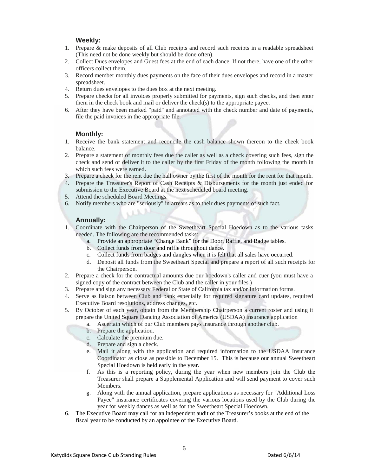#### **Weekly:**

- 1. Prepare & make deposits of all Club receipts and record such receipts in a readable spreadsheet (This need not be done weekly but should be done often).
- 2. Collect Dues envelopes and Guest fees at the end of each dance. If not there, have one of the other officers collect them.
- 3. Record member monthly dues payments on the face of their dues envelopes and record in a master spreadsheet.
- 4. Return dues envelopes to the dues box at the next meeting.
- 5. Prepare checks for all invoices properly submitted for payments, sign such checks, and then enter them in the check book and mail or deliver the check(s) to the appropriate payee.
- 6. After they have been marked "paid" and annotated with the check number and date of payments, file the paid invoices in the appropriate file.

#### **Monthly:**

- 1. Receive the bank statement and reconcile the cash balance shown thereon to the cheek book balance.
- 2. Prepare a statement of monthly fees due the caller as well as a check covering such fees, sign the check and send or deliver it to the caller by the first Friday of the month following the month in which such fees were earned.
- 3. Prepare a check for the rent due the hall owner by the first of the month for the rent for that month.
- 4. Prepare the Treasurer's Report of Cash Receipts & Disbursements for the month just ended for submission to the Executive Board at the next scheduled board meeting.
- 5. Attend the scheduled Board Meetings.
- 6. Notify members who are "seriously" in arrears as to their dues payments of such fact.

#### **Annually:**

- 1. Coordinate with the Chairperson of the Sweetheart Special Hoedown as to the various tasks needed. The following are the recommended tasks:
	- a. Provide an appropriate "Change Bank" for the Door, Raffle, and Badge tables.
	- b. Collect funds from door and raffle throughout dance.
	- c. Collect funds from badges and dangles when it is felt that all sales have occurred.
	- d. Deposit all funds from the Sweetheart Special and prepare a report of all such receipts for the Chairperson.
- 2. Prepare a check for the contractual amounts due our hoedown's caller and cuer (you must have a signed copy of the contract between the Club and the caller in your files.)
- 3. Prepare and sign any necessary Federal or State of California tax and/or Information forms.
- 4. Serve as liaison between Club and bank especially for required signature card updates, required Executive Board resolutions, address changes, etc.
- 5. By October of each year, obtain from the Membership Chairperson a current roster and using it prepare the United Square Dancing Association of America (USDAA) insurance application
	- a. Ascertain which of our Club members pays insurance through another club.
	- b. Prepare the application.
	- c. Calculate the premium due.
	- d. Prepare and sign a check.
	- e. Mail it along with the application and required information to the USDAA Insurance Coordinator as close as possible to December 15. This is because our annual Sweetheart Special Hoedown is held early in the year.
	- f. As this is a reporting policy, during the year when new members join the Club the Treasurer shall prepare a Supplemental Application and will send payment to cover such Members.
	- g. Along with the annual application, prepare applications as necessary for "Additional Loss Payee" insurance certificates covering the various locations used by the Club during the year for weekly dances as well as for the Sweetheart Special Hoedown.
- 6. The Executive Board may call for an independent audit of the Treasurer's books at the end of the fiscal year to be conducted by an appointee of the Executive Board.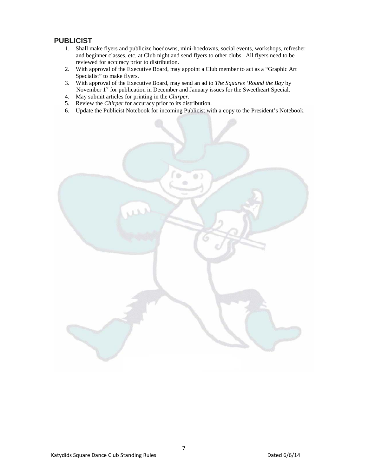#### **PUBLICIST**

- 1. Shall make flyers and publicize hoedowns, mini-hoedowns, social events, workshops, refresher and beginner classes, etc. at Club night and send flyers to other clubs. All flyers need to be reviewed for accuracy prior to distribution.
- 2. With approval of the Executive Board, may appoint a Club member to act as a "Graphic Art Specialist" to make flyers.
- 3. With approval of the Executive Board, may send an ad to *The Squares 'Round the Bay* by November 1<sup>st</sup> for publication in December and January issues for the Sweetheart Special.
- 4. May submit articles for printing in the *Chirper*.
- 5. Review the *Chirper* for accuracy prior to its distribution.
- 6. Update the Publicist Notebook for incoming Publicist with a copy to the President's Notebook.

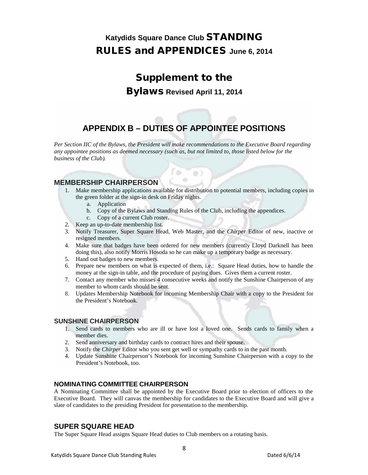# Supplement to the

#### Bylaws **Revised April 11, 2014**

# **APPENDIX B – DUTIES OF APPOINTEE POSITIONS**

*Per Section IIC of the Bylaws, the President will make recommendations to the Executive Board regarding any appointee positions as deemed necessary (such as, but not limited to, those listed below for the business of the Club).*

**B** 

#### **MEMBERSHIP CHAIRPERSON**

1. Make membership applications available for distribution to potential members, including copies in the green folder at the sign-in desk on Friday nights.

 $\alpha$ 

- a. Application
- b. Copy of the Bylaws and Standing Rules of the Club, including the appendices.
- c. Copy of a current Club roster.
- 2. Keep an up-to-date membership list.
- 3. Notify Treasurer, Super Square Head, Web Master, and the *Chirper* Editor of new, inactive or resigned members.
- 4. Make sure that badges have been ordered for new members (currently Lloyd Darknell has been doing this), also notify Morris Hosoda so he can make up a temporary badge as necessary.
- 5. Hand out badges to new members.
- 6. Prepare new members on what is expected of them, i.e.: Square Head duties, how to handle the money at the sign-in table, and the procedure of paying dues. Gives them a current roster.
- 7. Contact any member who misses 4 consecutive weeks and notify the Sunshine Chairperson of any member to whom cards should be sent.
- 8. Updates Membership Notebook for incoming Membership Chair with a copy to the President for the President's Notebook.

#### **SUNSHINE CHAIRPERSON**

- 1. Send cards to members who are ill or have lost a loved one. Sends cards to family when a member dies.
- 2. Send anniversary and birthday cards to contract hires and their spouse.
- 3. Notify the *Chirper* Editor who you sent get well or sympathy cards to in the past month.
- 4. Update Sunshine Chairperson's Notebook for incoming Sunshine Chairperson with a copy to the President's Notebook, too.

#### **NOMINATING COMMITTEE CHAIRPERSON**

A Nominating Committee shall be appointed by the Executive Board prior to election of officers to the Executive Board. They will canvas the membership for candidates to the Executive Board and will give a slate of candidates to the presiding President for presentation to the membership.

#### **SUPER SQUARE HEAD**

The Super Square Head assigns Square Head duties to Club members on a rotating basis.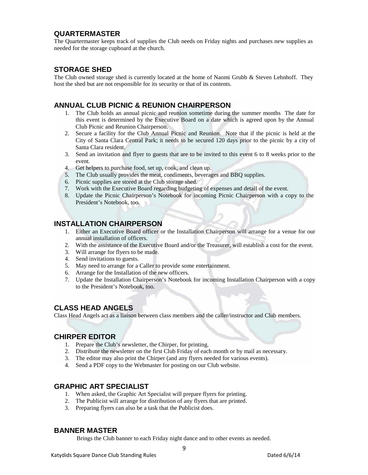#### **QUARTERMASTER**

The Quartermaster keeps track of supplies the Club needs on Friday nights and purchases new supplies as needed for the storage cupboard at the church.

#### **STORAGE SHED**

The Club owned storage shed is currently located at the home of Naomi Grubb & Steven Lehnhoff. They host the shed but are not responsible for its security or that of its contents.

#### **ANNUAL CLUB PICNIC & REUNION CHAIRPERSON**

- 1. The Club holds an annual picnic and reunion sometime during the summer months The date for this event is determined by the Executive Board on a date which is agreed upon by the Annual Club Picnic and Reunion Chairperson.
- 2. Secure a facility for the Club Annual Picnic and Reunion. Note that if the picnic is held at the City of Santa Clara Central Park; it needs to be secured 120 days prior to the picnic by a city of Santa Clara resident.
- 3. Send an invitation and flyer to guests that are to be invited to this event 6 to 8 weeks prior to the event.
- 4. Get helpers to purchase food, set up, cook, and clean up.
- 5. The Club usually provides the meat, condiments, beverages and BBQ supplies.
- 6. Picnic supplies are stored at the Club storage shed.
- 7. Work with the Executive Board regarding budgeting of expenses and detail of the event.
- 8. Update the Picnic Chairperson's Notebook for incoming Picnic Chairperson with a copy to the President's Notebook, too.

#### **INSTALLATION CHAIRPERSON**

- 1. Either an Executive Board officer or the Installation Chairperson will arrange for a venue for our annual installation of officers.
- 2. With the assistance of the Executive Board and/or the Treasurer, will establish a cost for the event.
- 3. Will arrange for flyers to be made.
- 4. Send invitations to guests.
- 5. May need to arrange for a Caller to provide some entertainment.
- 6. Arrange for the Installation of the new officers.
- 7. Update the Installation Chairperson's Notebook for incoming Installation Chairperson with a copy to the President's Notebook, too.

#### **CLASS HEAD ANGELS**

Class Head Angels act as a liaison between class members and the caller/instructor and Club members.

#### **CHIRPER EDITOR**

- 1. Prepare the Club's newsletter, the Chirper, for printing.
- 2. Distribute the newsletter on the first Club Friday of each month or by mail as necessary.
- 3. The editor may also print the Chirper (and any flyers needed for various events).
- 4. Send a PDF copy to the Webmaster for posting on our Club website.

#### **GRAPHIC ART SPECIALIST**

- 1. When asked, the Graphic Art Specialist will prepare flyers for printing.
- 2. The Publicist will arrange for distribution of any flyers that are printed.
- 3. Preparing flyers can also be a task that the Publicist does.

#### **BANNER MASTER**

Brings the Club banner to each Friday night dance and to other events as needed.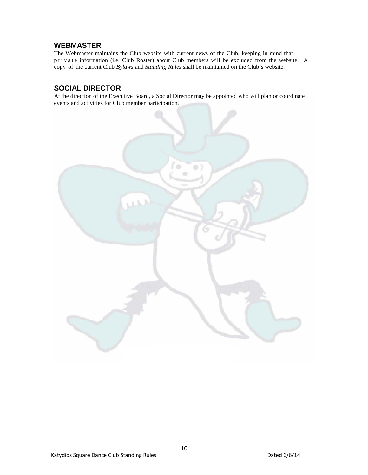#### **WEBMASTER**

The Webmaster maintains the Club website with current news of the Club, keeping in mind that private information (i.e. Club Roster) about Club members will be excluded from the website. A copy of the current Club *Bylaws* and *Standing Rules* shall be maintained on the Club's website.

#### **SOCIAL DIRECTOR**

At the direction of the Executive Board, a Social Director may be appointed who will plan or coordinate events and activities for Club member participation.



10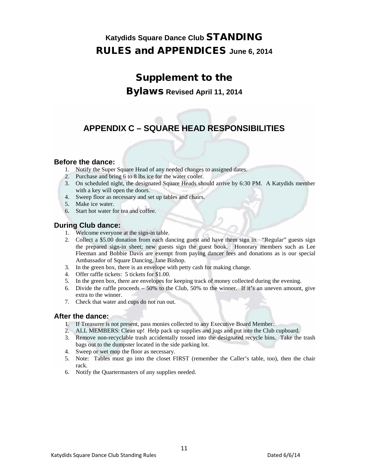## Supplement to the

Bylaws **Revised April 11, 2014**

# **APPENDIX C – SQUARE HEAD RESPONSIBILITIES**

#### **Before the dance:**

- 1. Notify the Super Square Head of any needed changes to assigned dates.
- 2. Purchase and bring 6 to 8 lbs ice for the water cooler.
- 3. On scheduled night, the designated Square Heads should arrive by 6:30 PM. A Katydids member with a key will open the doors.
- 4. Sweep floor as necessary and set up tables and chairs.
- 5. Make ice water.
- 6. Start hot water for tea and coffee.

#### **During Club dance:**

- 1. Welcome everyone at the sign-in table.
- 2. Collect a \$5.00 donation from each dancing guest and have them sign in. "Regular" guests sign the prepared sign-in sheet; new guests sign the guest book. Honorary members such as Lee Fleeman and Bobbie Davis are exempt from paying dancer fees and donations as is our special Ambassador of Square Dancing, Jane Bishop.
- 3. In the green box, there is an envelope with petty cash for making change.
- 4. Offer raffle tickets: 5 tickets for \$1.00.
- 5. In the green box, there are envelopes for keeping track of money collected during the evening.
- 6. Divide the raffle proceeds 50% to the Club, 50% to the winner. If it's an uneven amount, give extra to the winner.
- 7. Check that water and cups do not run out.

#### **After the dance:**

- 1. If Treasurer is not present, pass monies collected to any Executive Board Member.
- 2. ALL MEMBERS: Clean up! Help pack up supplies and jugs and put into the Club cupboard.
- 3. Remove non-recyclable trash accidentally tossed into the designated recycle bins. Take the trash bags out to the dumpster located in the side parking lot.
- 4. Sweep or wet mop the floor as necessary.
- 5. Note: Tables must go into the closet FIRST (remember the Caller's table, too), then the chair rack.
- 6. Notify the Quartermasters of any supplies needed.